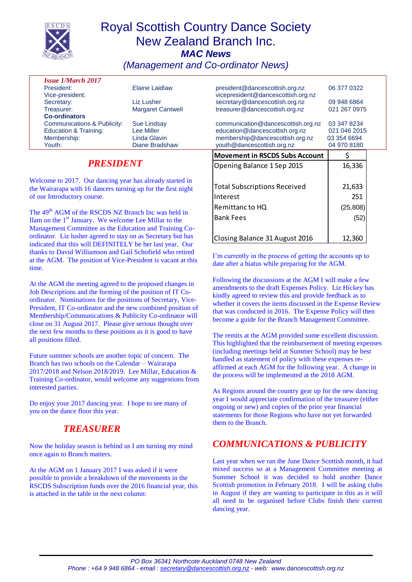

# Royal Scottish Country Dance Society New Zealand Branch Inc. *MAC News*

*(Management and Co-ordinator News)*

| <b>Issue 1/March 2017</b>              |                          |                                    |              |  |
|----------------------------------------|--------------------------|------------------------------------|--------------|--|
| President:                             | Elaine Laidlaw           | president@dancescottish.org.nz     | 06 377 0322  |  |
| Vice-president:                        |                          | vicepresident@dancescottish.org.nz |              |  |
| Secretary:                             | Liz Lusher               | secretary@dancescottish.org.nz     | 09 948 6864  |  |
| Treasurer:                             | <b>Margaret Cantwell</b> | treasurer@dancescottish.org.nz     | 021 267 0975 |  |
| <b>Co-ordinators</b>                   |                          |                                    |              |  |
| <b>Communications &amp; Publicity:</b> | <b>Sue Lindsay</b>       | communication@dancescottish.org.nz | 03 347 8234  |  |
| <b>Education &amp; Training:</b>       | Lee Miller               | education@dancescottish.org.nz     | 021 046 2015 |  |
| Membership:                            | Linda Glavin             | membership@dancescottish.org.nz    | 03 354 6694  |  |
| Youth:                                 | <b>Diane Bradshaw</b>    | youth@dancescottish.org.nz         | 04 970 8180  |  |
|                                        |                          |                                    |              |  |

### *PRESIDENT*

Welcome to 2017. Our dancing year has already started in the Wairarapa with 16 dancers turning up for the first night of our Introductory course.

The 49<sup>th</sup> AGM of the RSCDS NZ Branch Inc was held in Ilam on the 1st January. We welcome Lee Millar to the Management Committee as the Education and Training Coordinator. Liz lusher agreed to stay on as Secretary but has indicated that this will DEFINITELY be her last year. Our thanks to David Williamson and Gail Schofield who retired at the AGM. The position of Vice-President is vacant at this time.

At the AGM the meeting agreed to the proposed changes in Job Descriptions and the forming of the position of IT Coordinator. Nominations for the positions of Secretary, Vice-President, IT Co-ordinator and the new combined position of Membership/Communications & Publicity Co-ordinator will close on 31 August 2017. Please give serious thought over the next few months to these positions as it is good to have all positions filled.

Future summer schools are another topic of concern. The Branch has two schools on the Calendar – Wairarapa 2017/2018 and Nelson 2018/2019. Lee Millar, Education & Training Co-ordinator, would welcome any suggestions from interested parties.

Do enjoy your 2017 dancing year. I hope to see many of you on the dance floor this year.

## *TREASURER*

Now the holiday season is behind us I am turning my mind once again to Branch matters.

At the AGM on 1 January 2017 I was asked if it were possible to provide a breakdown of the movements in the RSCDS Subscription funds over the 2016 financial year, this is attached in the table in the next column:

| incribership @ dancescottish.org.nz<br>youth@dancescottish.org.nz | <u>UJ JJT UUJT</u><br>04 970 8180 |  |
|-------------------------------------------------------------------|-----------------------------------|--|
| <b>Movement in RSCDS Subs Account</b>                             |                                   |  |
| Opening Balance 1 Sep 2015                                        | 16,336                            |  |
|                                                                   |                                   |  |
| <b>Total Subscriptions Received</b>                               | 21,633                            |  |
| Interest                                                          | 251                               |  |
| Remittanc to HQ                                                   | (25, 808)                         |  |
| <b>Bank Fees</b>                                                  | (52)                              |  |
|                                                                   |                                   |  |
| Closing Balance 31 August 2016                                    | 12,360                            |  |

I'm currently in the process of getting the accounts up to date after a hiatus while preparing for the AGM.

Following the discussions at the AGM I will make a few amendments to the draft Expenses Policy. Liz Hickey has kindly agreed to review this and provide feedback as to whether it covers the items discussed in the Expense Review that was conducted in 2016. The Expense Policy will then become a guide for the Branch Management Committee.

The remits at the AGM provided some excellent discussion. This highlighted that the reimbursement of meeting expenses (including meetings held at Summer School) may be best handled as statement of policy with these expenses reaffirmed at each AGM for the following year. A change in the process will be implemented at the 2018 AGM.

As Regions around the country gear up for the new dancing year I would appreciate confirmation of the treasurer (either ongoing or new) and copies of the prior year financial statements for those Regions who have not yet forwarded them to the Branch.

## *COMMUNICATIONS & PUBLICITY*

Last year when we ran the June Dance Scottish month, it had mixed success so at a Management Committee meeting at Summer School it was decided to hold another Dance Scottish promotion in February 2018. I will be asking clubs in August if they are wanting to participate in this as it will all need to be organised before Clubs finish their current dancing year.